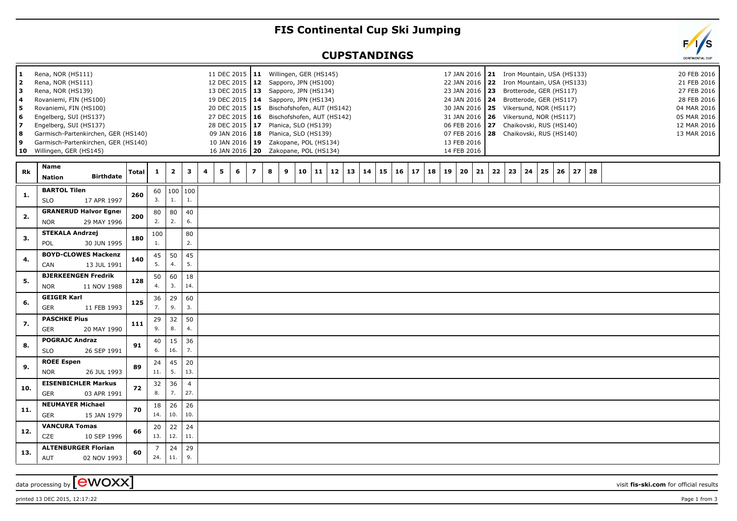## **FIS Continental Cup Ski Jumping**

## **CUPSTANDINGS**

| 1<br>2<br>з<br>4<br>5<br>6<br>7<br>8<br>9<br>10 | Rena, NOR (HS111)<br>Rena, NOR (HS111)<br>Rena, NOR (HS139)<br>Rovaniemi, FIN (HS100)<br>Rovaniemi, FIN (HS100)<br>Engelberg, SUI (HS137)<br>Engelberg, SUI (HS137)<br>Garmisch-Partenkirchen, GER (HS140)<br>Garmisch-Partenkirchen, GER (HS140)<br>Willingen, GER (HS145) |              |              |                         |                       | 11 DEC 2015   11 Willingen, GER (HS145)<br>12 DEC 2015   12 Sapporo, JPN (HS100)<br>13 DEC 2015   13 Sapporo, JPN (HS134)<br>19 DEC 2015   14 Sapporo, JPN (HS134)<br>20 DEC 2015   15 Bischofshofen, AUT (HS142)<br>27 DEC 2015   16 Bischofshofen, AUT (HS142)<br>28 DEC 2015   17 Planica, SLO (HS139)<br>09 JAN 2016   18<br>10 JAN 2016 19<br>16 JAN 2016   20  Zakopane, POL (HS134) |                | Planica, SLO (HS139)<br>Zakopane, POL (HS134) |    |    |          |    |    |          |    |    | 17 JAN 2016   21 Iron Mountain, USA (HS133)<br>22 JAN 2016 22 Iron Mountain, USA (HS133)<br>23 JAN 2016 23<br>24 JAN 2016   24 Brotterode, GER (HS117)<br>30 JAN 2016   25 Vikersund, NOR (HS117)<br>31 JAN 2016   26 Vikersund, NOR (HS117)<br>06 FEB 2016 27 Chaikovski, RUS (HS140)<br>07 FEB 2016 28 Chaikovski, RUS (HS140)<br>13 FEB 2016<br>14 FEB 2016 |    |    |    | Brotterode, GER (HS117) |    |    |    |  |  | 20 FEB 2016<br>21 FEB 2016<br>27 FEB 2016<br>28 FEB 2016<br>04 MAR 2016<br>05 MAR 2016<br>12 MAR 2016<br>13 MAR 2016 |  |
|-------------------------------------------------|-----------------------------------------------------------------------------------------------------------------------------------------------------------------------------------------------------------------------------------------------------------------------------|--------------|--------------|-------------------------|-----------------------|--------------------------------------------------------------------------------------------------------------------------------------------------------------------------------------------------------------------------------------------------------------------------------------------------------------------------------------------------------------------------------------------|----------------|-----------------------------------------------|----|----|----------|----|----|----------|----|----|----------------------------------------------------------------------------------------------------------------------------------------------------------------------------------------------------------------------------------------------------------------------------------------------------------------------------------------------------------------|----|----|----|-------------------------|----|----|----|--|--|----------------------------------------------------------------------------------------------------------------------|--|
| Rk                                              | <b>Name</b><br><b>Birthdate</b><br><b>Nation</b>                                                                                                                                                                                                                            | <b>Total</b> | $\mathbf{1}$ | $\overline{\mathbf{2}}$ | 3                     | 5<br>6<br>4                                                                                                                                                                                                                                                                                                                                                                                | $\overline{ }$ | 8<br>9                                        | 10 | 11 | 12<br>13 | 14 | 15 | 16<br>17 | 18 | 19 | 21<br>20                                                                                                                                                                                                                                                                                                                                                       | 22 | 23 | 24 | 25                      | 26 | 27 | 28 |  |  |                                                                                                                      |  |
| 1.                                              | <b>BARTOL Tilen</b><br><b>SLO</b><br>17 APR 1997                                                                                                                                                                                                                            | 260          | 60<br>3.     | 1.                      | 100 100<br>1.         |                                                                                                                                                                                                                                                                                                                                                                                            |                |                                               |    |    |          |    |    |          |    |    |                                                                                                                                                                                                                                                                                                                                                                |    |    |    |                         |    |    |    |  |  |                                                                                                                      |  |
| 2.                                              | <b>GRANERUD Halvor Egner</b><br>29 MAY 1996<br><b>NOR</b>                                                                                                                                                                                                                   | 200          | 80<br>2.     | 80<br>2.                | 40<br>6.              |                                                                                                                                                                                                                                                                                                                                                                                            |                |                                               |    |    |          |    |    |          |    |    |                                                                                                                                                                                                                                                                                                                                                                |    |    |    |                         |    |    |    |  |  |                                                                                                                      |  |
| 3.                                              | <b>STEKALA Andrzej</b><br>POL<br>30 JUN 1995                                                                                                                                                                                                                                | 180          | 100<br>1.    |                         | 80<br>2.              |                                                                                                                                                                                                                                                                                                                                                                                            |                |                                               |    |    |          |    |    |          |    |    |                                                                                                                                                                                                                                                                                                                                                                |    |    |    |                         |    |    |    |  |  |                                                                                                                      |  |
| 4.                                              | <b>BOYD-CLOWES Mackenzi</b><br>CAN<br>13 JUL 1991                                                                                                                                                                                                                           | 140          | 45<br>5.     | 50<br>4.                | 45<br>5.              |                                                                                                                                                                                                                                                                                                                                                                                            |                |                                               |    |    |          |    |    |          |    |    |                                                                                                                                                                                                                                                                                                                                                                |    |    |    |                         |    |    |    |  |  |                                                                                                                      |  |
| 5.                                              | <b>BJERKEENGEN Fredrik</b><br>11 NOV 1988<br><b>NOR</b>                                                                                                                                                                                                                     | 128          | 50<br>4.     | 60<br>3.                | 18<br>14.             |                                                                                                                                                                                                                                                                                                                                                                                            |                |                                               |    |    |          |    |    |          |    |    |                                                                                                                                                                                                                                                                                                                                                                |    |    |    |                         |    |    |    |  |  |                                                                                                                      |  |
| 6.                                              | <b>GEIGER Karl</b><br><b>GER</b><br>11 FEB 1993                                                                                                                                                                                                                             | 125          | 36<br>7.     | 29<br>9.                | 60<br>3.              |                                                                                                                                                                                                                                                                                                                                                                                            |                |                                               |    |    |          |    |    |          |    |    |                                                                                                                                                                                                                                                                                                                                                                |    |    |    |                         |    |    |    |  |  |                                                                                                                      |  |
| 7.                                              | <b>PASCHKE Pius</b><br><b>GER</b><br>20 MAY 1990                                                                                                                                                                                                                            | 111          | 29<br>9.     | 32<br>8.                | 50<br>4.              |                                                                                                                                                                                                                                                                                                                                                                                            |                |                                               |    |    |          |    |    |          |    |    |                                                                                                                                                                                                                                                                                                                                                                |    |    |    |                         |    |    |    |  |  |                                                                                                                      |  |
| 8.                                              | <b>POGRAJC Andraz</b><br><b>SLO</b><br>26 SEP 1991                                                                                                                                                                                                                          | 91           | 40<br>6.     | 15<br>16.               | 36<br>7.              |                                                                                                                                                                                                                                                                                                                                                                                            |                |                                               |    |    |          |    |    |          |    |    |                                                                                                                                                                                                                                                                                                                                                                |    |    |    |                         |    |    |    |  |  |                                                                                                                      |  |
| 9.                                              | <b>ROEE Espen</b><br><b>NOR</b><br>26 JUL 1993                                                                                                                                                                                                                              | 89           | 24<br>11.    | 45<br>5.                | 20<br>13.             |                                                                                                                                                                                                                                                                                                                                                                                            |                |                                               |    |    |          |    |    |          |    |    |                                                                                                                                                                                                                                                                                                                                                                |    |    |    |                         |    |    |    |  |  |                                                                                                                      |  |
| 10.                                             | <b>EISENBICHLER Markus</b><br><b>GER</b><br>03 APR 1991                                                                                                                                                                                                                     | 72           | 32<br>8.     | 36<br>7.                | $\overline{4}$<br>27. |                                                                                                                                                                                                                                                                                                                                                                                            |                |                                               |    |    |          |    |    |          |    |    |                                                                                                                                                                                                                                                                                                                                                                |    |    |    |                         |    |    |    |  |  |                                                                                                                      |  |
| 11.                                             | <b>NEUMAYER Michael</b><br><b>GER</b><br>15 JAN 1979                                                                                                                                                                                                                        | 70           | 18<br>14.    | 26<br>10.               | 26<br>10.             |                                                                                                                                                                                                                                                                                                                                                                                            |                |                                               |    |    |          |    |    |          |    |    |                                                                                                                                                                                                                                                                                                                                                                |    |    |    |                         |    |    |    |  |  |                                                                                                                      |  |
| 12.                                             | <b>VANCURA Tomas</b><br>CZE<br>10 SEP 1996                                                                                                                                                                                                                                  | 66           | 20<br>13.    | 22<br>12.               | 24<br>11.             |                                                                                                                                                                                                                                                                                                                                                                                            |                |                                               |    |    |          |    |    |          |    |    |                                                                                                                                                                                                                                                                                                                                                                |    |    |    |                         |    |    |    |  |  |                                                                                                                      |  |
| 13.                                             | <b>ALTENBURGER Florian</b><br><b>AUT</b><br>02 NOV 1993                                                                                                                                                                                                                     | 60           | 7<br>24.     | 24<br>11.               | 29<br>9.              |                                                                                                                                                                                                                                                                                                                                                                                            |                |                                               |    |    |          |    |    |          |    |    |                                                                                                                                                                                                                                                                                                                                                                |    |    |    |                         |    |    |    |  |  |                                                                                                                      |  |

printed 13 DEC 2015, 12:17:22 **Page 1** from 3

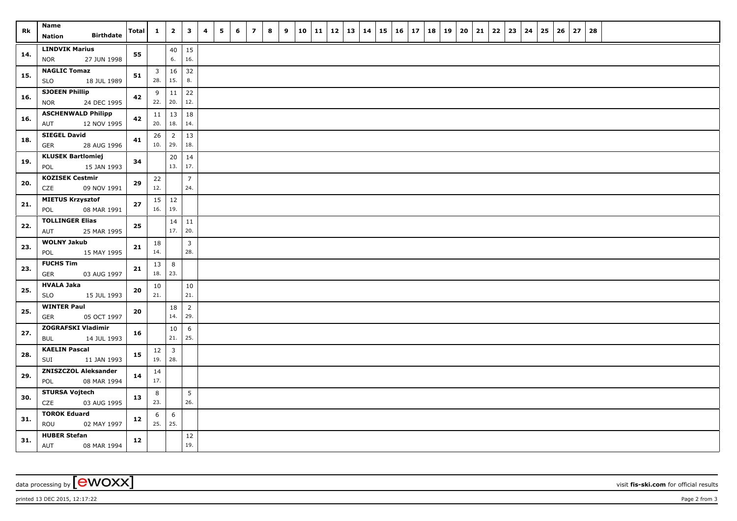| <b>Rk</b> | Name<br><b>Birthdate</b><br><b>Nation</b>          | <b>Total</b> | $\mathbf{1}$                   | $\mathbf{2}$          | $\mathbf{3}$           | $\overline{\mathbf{4}}$ | 5 | 6 | $\overline{z}$ | 8 | 9 | 10 | $11 \mid 12$ | 13 | 14 | $15 \mid 16$ | 17 | 18 | 19 | 20 | 21 | 22 | 23 | 24 | 25 | 26 | 27 | 28 |  |  |  |
|-----------|----------------------------------------------------|--------------|--------------------------------|-----------------------|------------------------|-------------------------|---|---|----------------|---|---|----|--------------|----|----|--------------|----|----|----|----|----|----|----|----|----|----|----|----|--|--|--|
| 14.       | <b>LINDVIK Marius</b><br>27 JUN 1998<br><b>NOR</b> | 55           |                                | 40<br>6.              | 15<br>16.              |                         |   |   |                |   |   |    |              |    |    |              |    |    |    |    |    |    |    |    |    |    |    |    |  |  |  |
| 15.       | <b>NAGLIC Tomaz</b><br><b>SLO</b><br>18 JUL 1989   | 51           | $\overline{\mathbf{3}}$<br>28. | 16<br>15.             | 32<br>8.               |                         |   |   |                |   |   |    |              |    |    |              |    |    |    |    |    |    |    |    |    |    |    |    |  |  |  |
| 16.       | <b>SJOEEN Phillip</b><br>24 DEC 1995<br><b>NOR</b> | 42           | 9<br>22.                       | 11<br>20.             | 22<br>12.              |                         |   |   |                |   |   |    |              |    |    |              |    |    |    |    |    |    |    |    |    |    |    |    |  |  |  |
| 16.       | <b>ASCHENWALD Philipp</b><br>AUT<br>12 NOV 1995    | 42           | 11<br>20.                      | 13<br>18.             | 18<br>14.              |                         |   |   |                |   |   |    |              |    |    |              |    |    |    |    |    |    |    |    |    |    |    |    |  |  |  |
| 18.       | <b>SIEGEL David</b><br>28 AUG 1996<br><b>GER</b>   | 41           | 26<br>10.                      | $\overline{2}$<br>29. | 13<br>18.              |                         |   |   |                |   |   |    |              |    |    |              |    |    |    |    |    |    |    |    |    |    |    |    |  |  |  |
| 19.       | <b>KLUSEK Bartlomiej</b><br>15 JAN 1993<br>POL     | 34           |                                | 20<br>13.             | 14<br>17.              |                         |   |   |                |   |   |    |              |    |    |              |    |    |    |    |    |    |    |    |    |    |    |    |  |  |  |
| 20.       | <b>KOZISEK Cestmir</b><br>09 NOV 1991<br>CZE       | 29           | 22<br>12.                      |                       | $\overline{7}$<br>24.  |                         |   |   |                |   |   |    |              |    |    |              |    |    |    |    |    |    |    |    |    |    |    |    |  |  |  |
| 21.       | <b>MIETUS Krzysztof</b><br>POL<br>08 MAR 1991      | 27           | 15<br>16.                      | 12<br>19.             |                        |                         |   |   |                |   |   |    |              |    |    |              |    |    |    |    |    |    |    |    |    |    |    |    |  |  |  |
| 22.       | <b>TOLLINGER Elias</b><br>AUT<br>25 MAR 1995       | 25           |                                | $14 \mid 11$<br>17.   | 20.                    |                         |   |   |                |   |   |    |              |    |    |              |    |    |    |    |    |    |    |    |    |    |    |    |  |  |  |
| 23.       | <b>WOLNY Jakub</b><br>POL<br>15 MAY 1995           | 21           | 18<br>14.                      |                       | $\overline{3}$<br>28.  |                         |   |   |                |   |   |    |              |    |    |              |    |    |    |    |    |    |    |    |    |    |    |    |  |  |  |
| 23.       | <b>FUCHS Tim</b><br><b>GER</b><br>03 AUG 1997      | 21           | 13<br>18.                      | 8<br>23.              |                        |                         |   |   |                |   |   |    |              |    |    |              |    |    |    |    |    |    |    |    |    |    |    |    |  |  |  |
| 25.       | <b>HVALA Jaka</b><br><b>SLO</b><br>15 JUL 1993     | 20           | 10<br>21.                      |                       | 10<br>21.              |                         |   |   |                |   |   |    |              |    |    |              |    |    |    |    |    |    |    |    |    |    |    |    |  |  |  |
| 25.       | <b>WINTER Paul</b><br>05 OCT 1997<br><b>GER</b>    | 20           |                                | 18<br>14.             | $\overline{2}$<br>29.  |                         |   |   |                |   |   |    |              |    |    |              |    |    |    |    |    |    |    |    |    |    |    |    |  |  |  |
| 27.       | ZOGRAFSKI Vladimir<br><b>BUL</b><br>14 JUL 1993    | 16           |                                | 10<br>21.             | 6<br>25.               |                         |   |   |                |   |   |    |              |    |    |              |    |    |    |    |    |    |    |    |    |    |    |    |  |  |  |
| 28.       | <b>KAELIN Pascal</b><br>SUI<br>11 JAN 1993         | 15           | 12<br>19.                      | 3<br>28.              |                        |                         |   |   |                |   |   |    |              |    |    |              |    |    |    |    |    |    |    |    |    |    |    |    |  |  |  |
| 29.       | <b>ZNISZCZOL Aleksander</b><br>POL<br>08 MAR 1994  | 14           | 14<br>17.                      |                       |                        |                         |   |   |                |   |   |    |              |    |    |              |    |    |    |    |    |    |    |    |    |    |    |    |  |  |  |
| 30.       | <b>STURSA Vojtech</b><br>CZE<br>03 AUG 1995        | 13           | 8<br>23.                       |                       | $5\phantom{.0}$<br>26. |                         |   |   |                |   |   |    |              |    |    |              |    |    |    |    |    |    |    |    |    |    |    |    |  |  |  |
| 31.       | <b>TOROK Eduard</b><br>ROU<br>02 MAY 1997          | 12           | 6<br>25.                       | 6<br>25.              |                        |                         |   |   |                |   |   |    |              |    |    |              |    |    |    |    |    |    |    |    |    |    |    |    |  |  |  |
| 31.       | <b>HUBER Stefan</b><br>08 MAR 1994<br>AUT          | 12           |                                |                       | 12<br>19.              |                         |   |   |                |   |   |    |              |    |    |              |    |    |    |    |    |    |    |    |    |    |    |    |  |  |  |

data processing by **CWOXX** visit **fis-ski.com** for official results